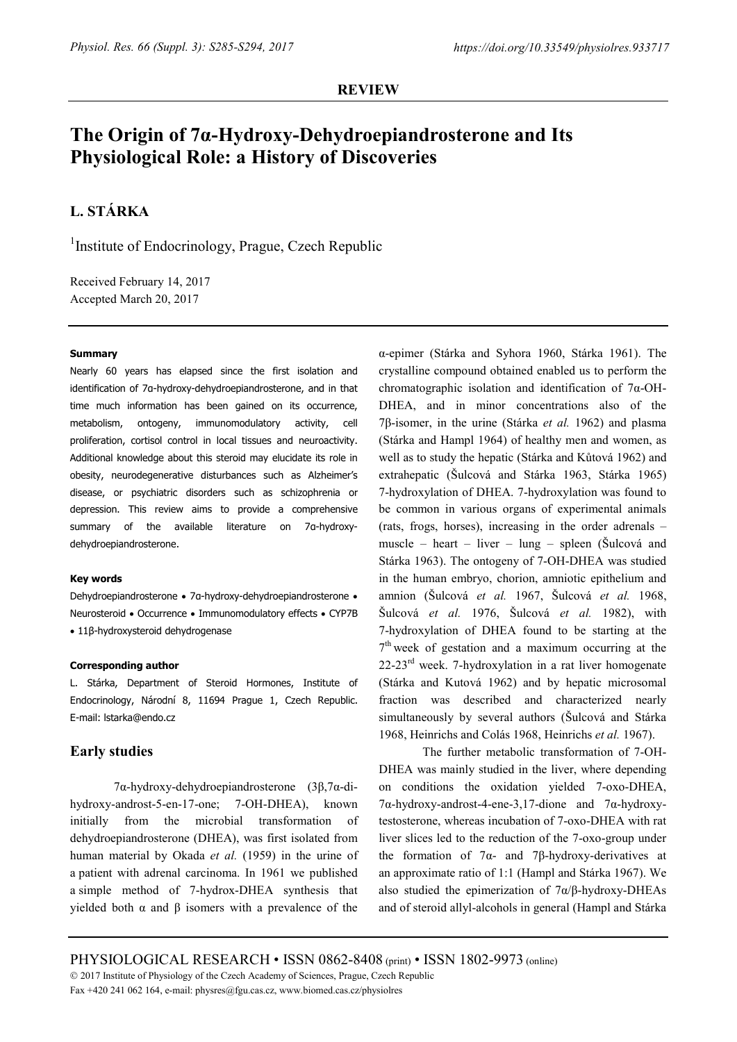### **REVIEW**

# **The Origin of 7α-Hydroxy-Dehydroepiandrosterone and Its Physiological Role: a History of Discoveries**

## **L. STÁRKA**

<sup>1</sup>Institute of Endocrinology, Prague, Czech Republic

Received February 14, 2017 Accepted March 20, 2017

#### **Summary**

Nearly 60 years has elapsed since the first isolation and identification of 7α-hydroxy-dehydroepiandrosterone, and in that time much information has been gained on its occurrence, metabolism, ontogeny, immunomodulatory activity, cell proliferation, cortisol control in local tissues and neuroactivity. Additional knowledge about this steroid may elucidate its role in obesity, neurodegenerative disturbances such as Alzheimer's disease, or psychiatric disorders such as schizophrenia or depression. This review aims to provide a comprehensive summary of the available literature on 7α-hydroxydehydroepiandrosterone.

#### **Key words**

Dehydroepiandrosterone • 7α-hydroxy-dehydroepiandrosterone • Neurosteroid • Occurrence • Immunomodulatory effects • CYP7B • 11β-hydroxysteroid dehydrogenase

#### **Corresponding author**

L. Stárka, Department of Steroid Hormones, Institute of Endocrinology, Národní 8, 11694 Prague 1, Czech Republic. E-mail: lstarka@endo.cz

## **Early studies**

7α-hydroxy-dehydroepiandrosterone (3β,7α-dihydroxy-androst-5-en-17-one; 7-OH-DHEA), known initially from the microbial transformation of dehydroepiandrosterone (DHEA), was first isolated from human material by Okada *et al.* (1959) in the urine of a patient with adrenal carcinoma. In 1961 we published a simple method of 7-hydrox-DHEA synthesis that yielded both α and β isomers with a prevalence of the

α-epimer (Stárka and Syhora 1960, Stárka 1961). The crystalline compound obtained enabled us to perform the chromatographic isolation and identification of 7α-OH-DHEA, and in minor concentrations also of the 7β-isomer, in the urine (Stárka *et al.* 1962) and plasma (Stárka and Hampl 1964) of healthy men and women, as well as to study the hepatic (Stárka and Kůtová 1962) and extrahepatic (Šulcová and Stárka 1963, Stárka 1965) 7-hydroxylation of DHEA. 7-hydroxylation was found to be common in various organs of experimental animals (rats, frogs, horses), increasing in the order adrenals – muscle – heart – liver – lung – spleen (Šulcová and Stárka 1963). The ontogeny of 7-OH-DHEA was studied in the human embryo, chorion, amniotic epithelium and amnion (Šulcová *et al.* 1967, Šulcová *et al.* 1968, Šulcová *et al.* 1976, Šulcová *et al.* 1982), with 7-hydroxylation of DHEA found to be starting at the  $7<sup>th</sup>$  week of gestation and a maximum occurring at the 22-23<sup>rd</sup> week. 7-hydroxylation in a rat liver homogenate (Stárka and Kutová 1962) and by hepatic microsomal fraction was described and characterized nearly simultaneously by several authors (Šulcová and Stárka 1968, Heinrichs and Colás 1968, Heinrichs *et al.* 1967).

The further metabolic transformation of 7-OH-DHEA was mainly studied in the liver, where depending on conditions the oxidation yielded 7-oxo-DHEA, 7α-hydroxy-androst-4-ene-3,17-dione and 7α-hydroxytestosterone, whereas incubation of 7-oxo-DHEA with rat liver slices led to the reduction of the 7-oxo-group under the formation of 7α- and 7β-hydroxy-derivatives at an approximate ratio of 1:1 (Hampl and Stárka 1967). We also studied the epimerization of  $7\alpha/\beta$ -hydroxy-DHEAs and of steroid allyl-alcohols in general (Hampl and Stárka

PHYSIOLOGICAL RESEARCH • ISSN 0862-8408 (print) • ISSN 1802-9973 (online) 2017 Institute of Physiology of the Czech Academy of Sciences, Prague, Czech Republic Fax +420 241 062 164, e-mail: physres@fgu.cas.cz, www.biomed.cas.cz/physiolres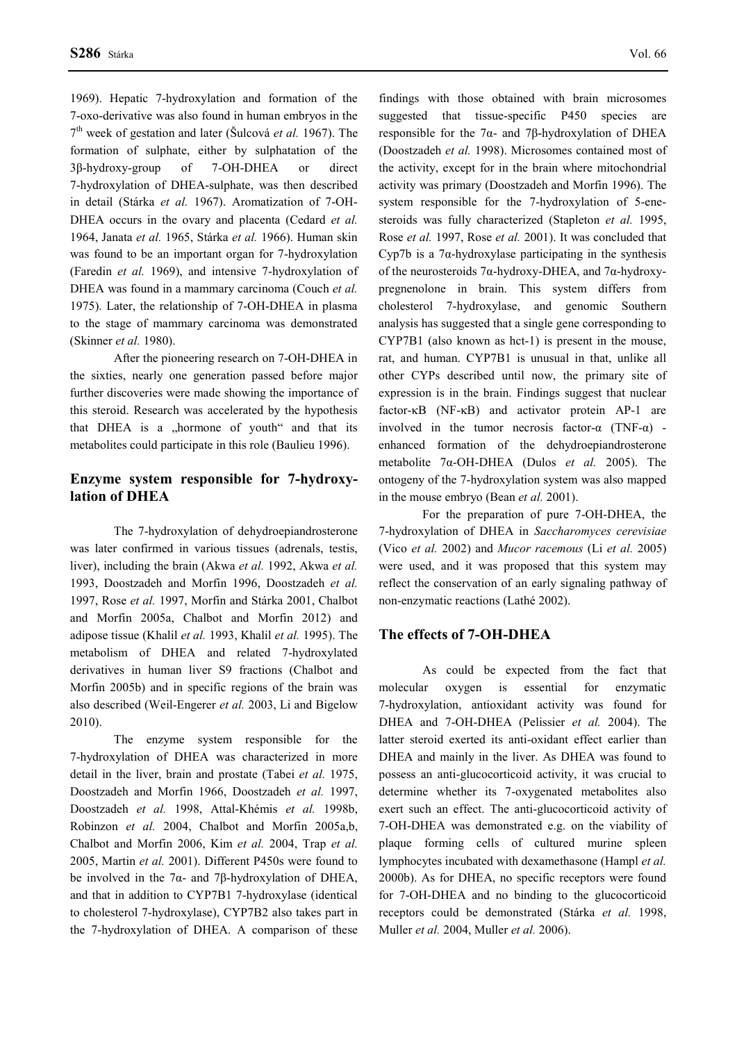1969). Hepatic 7-hydroxylation and formation of the 7-oxo-derivative was also found in human embryos in the 7th week of gestation and later (Šulcová *et al.* 1967). The formation of sulphate, either by sulphatation of the 3β-hydroxy-group of 7-OH-DHEA or direct 7-hydroxylation of DHEA-sulphate, was then described in detail (Stárka *et al.* 1967). Aromatization of 7-OH-DHEA occurs in the ovary and placenta (Cedard *et al.* 1964, Janata *et al.* 1965, Stárka *et al.* 1966). Human skin was found to be an important organ for 7-hydroxylation (Faredin *et al.* 1969), and intensive 7-hydroxylation of DHEA was found in a mammary carcinoma (Couch *et al.* 1975). Later, the relationship of 7-OH-DHEA in plasma to the stage of mammary carcinoma was demonstrated (Skinner *et al.* 1980).

After the pioneering research on 7-OH-DHEA in the sixties, nearly one generation passed before major further discoveries were made showing the importance of this steroid. Research was accelerated by the hypothesis that DHEA is a "hormone of youth" and that its metabolites could participate in this role (Baulieu 1996).

## **Enzyme system responsible for 7-hydroxylation of DHEA**

The 7-hydroxylation of dehydroepiandrosterone was later confirmed in various tissues (adrenals, testis, liver), including the brain (Akwa *et al.* 1992, Akwa *et al.* 1993, Doostzadeh and Morfin 1996, Doostzadeh *et al.* 1997, Rose *et al.* 1997, Morfin and Stárka 2001, Chalbot and Morfin 2005a, Chalbot and Morfin 2012) and adipose tissue (Khalil *et al.* 1993, Khalil *et al.* 1995). The metabolism of DHEA and related 7-hydroxylated derivatives in human liver S9 fractions (Chalbot and Morfin 2005b) and in specific regions of the brain was also described (Weil-Engerer *et al.* 2003, Li and Bigelow 2010).

The enzyme system responsible for the 7-hydroxylation of DHEA was characterized in more detail in the liver, brain and prostate (Tabei *et al.* 1975, Doostzadeh and Morfin 1966, Doostzadeh *et al.* 1997, Doostzadeh *et al.* 1998, Attal-Khémis *et al.* 1998b, Robinzon *et al.* 2004, Chalbot and Morfin 2005a,b, Chalbot and Morfin 2006, Kim *et al.* 2004, Trap *et al.* 2005, Martin *et al.* 2001). Different P450s were found to be involved in the 7α- and 7β-hydroxylation of DHEA, and that in addition to CYP7B1 7-hydroxylase (identical to cholesterol 7-hydroxylase), CYP7B2 also takes part in the 7-hydroxylation of DHEA. A comparison of these

findings with those obtained with brain microsomes suggested that tissue-specific P450 species are responsible for the 7α- and 7β-hydroxylation of DHEA (Doostzadeh *et al.* 1998). Microsomes contained most of the activity, except for in the brain where mitochondrial activity was primary (Doostzadeh and Morfin 1996). The system responsible for the 7-hydroxylation of 5-enesteroids was fully characterized (Stapleton *et al.* 1995, Rose *et al.* 1997, Rose *et al.* 2001). It was concluded that Cyp7b is a  $7\alpha$ -hydroxylase participating in the synthesis of the neurosteroids 7α-hydroxy-DHEA, and 7α-hydroxypregnenolone in brain. This system differs from cholesterol 7-hydroxylase, and genomic Southern analysis has suggested that a single gene corresponding to CYP7B1 (also known as hct-1) is present in the mouse, rat, and human. CYP7B1 is unusual in that, unlike all other CYPs described until now, the primary site of expression is in the brain. Findings suggest that nuclear factor-κB (NF-κB) and activator protein AP-1 are involved in the tumor necrosis factor- $\alpha$  (TNF- $\alpha$ ) enhanced formation of the dehydroepiandrosterone metabolite 7α-OH-DHEA (Dulos *et al.* 2005). The ontogeny of the 7-hydroxylation system was also mapped in the mouse embryo (Bean *et al.* 2001).

For the preparation of pure 7-OH-DHEA, the 7-hydroxylation of DHEA in *Saccharomyces cerevisiae* (Vico *et al.* 2002) and *Mucor racemous* (Li *et al.* 2005) were used, and it was proposed that this system may reflect the conservation of an early signaling pathway of non-enzymatic reactions (Lathé 2002).

#### **The effects of 7-OH-DHEA**

As could be expected from the fact that molecular oxygen is essential for enzymatic 7-hydroxylation, antioxidant activity was found for DHEA and 7-OH-DHEA (Pelissier *et al.* 2004). The latter steroid exerted its anti-oxidant effect earlier than DHEA and mainly in the liver. As DHEA was found to possess an anti-glucocorticoid activity, it was crucial to determine whether its 7-oxygenated metabolites also exert such an effect. The anti-glucocorticoid activity of 7-OH-DHEA was demonstrated e.g. on the viability of plaque forming cells of cultured murine spleen lymphocytes incubated with dexamethasone (Hampl *et al.* 2000b). As for DHEA, no specific receptors were found for 7-OH-DHEA and no binding to the glucocorticoid receptors could be demonstrated (Stárka *et al.* 1998, Muller *et al.* 2004, Muller *et al.* 2006).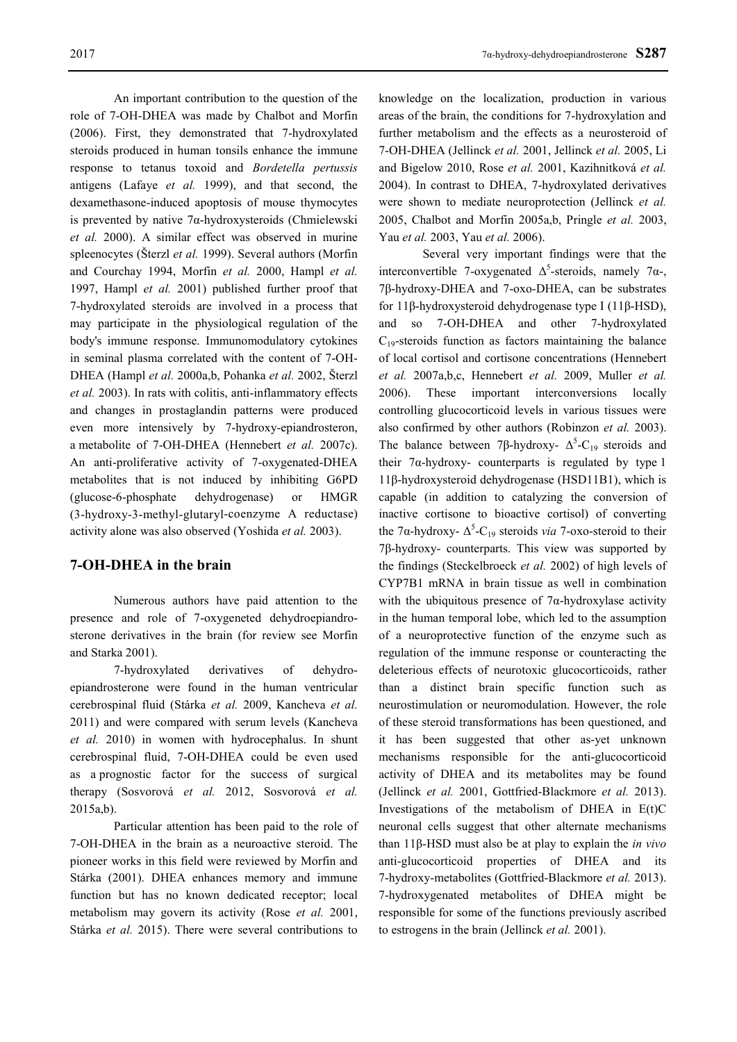An important contribution to the question of the role of 7-OH-DHEA was made by Chalbot and Morfin (2006). First, they demonstrated that 7-hydroxylated steroids produced in human tonsils enhance the immune response to tetanus toxoid and *Bordetella pertussis* antigens (Lafaye *et al.* 1999), and that second, the dexamethasone-induced apoptosis of mouse thymocytes is prevented by native 7α-hydroxysteroids (Chmielewski *et al.* 2000). A similar effect was observed in murine spleenocytes (Šterzl *et al.* 1999). Several authors (Morfin and Courchay 1994, Morfin *et al.* 2000, Hampl *et al.* 1997, Hampl *et al.* 2001) published further proof that 7-hydroxylated steroids are involved in a process that may participate in the physiological regulation of the body's immune response. Immunomodulatory cytokines in seminal plasma correlated with the content of 7-OH-DHEA (Hampl *et al.* 2000a,b, Pohanka *et al.* 2002, Šterzl *et al.* 2003). In rats with colitis, anti-inflammatory effects and changes in prostaglandin patterns were produced even more intensively by 7-hydroxy-epiandrosteron, a metabolite of 7-OH-DHEA (Hennebert *et al.* 2007c). An anti-proliferative activity of 7-oxygenated-DHEA metabolites that is not induced by inhibiting G6PD (glucose-6-phosphate dehydrogenase) or HMGR (3-hydroxy-3-methyl-glutaryl-coenzyme A reductase) activity alone was also observed (Yoshida *et al.* 2003).

## **7-OH-DHEA in the brain**

Numerous authors have paid attention to the presence and role of 7-oxygeneted dehydroepiandrosterone derivatives in the brain (for review see Morfin and Starka 2001).

7-hydroxylated derivatives of dehydroepiandrosterone were found in the human ventricular cerebrospinal fluid (Stárka *et al.* 2009, Kancheva *et al.* 2011) and were compared with serum levels (Kancheva *et al.* 2010) in women with hydrocephalus. In shunt cerebrospinal fluid, 7-OH-DHEA could be even used as a prognostic factor for the success of surgical therapy (Sosvorová *et al.* 2012, Sosvorová *et al.* 2015a,b).

Particular attention has been paid to the role of 7-OH-DHEA in the brain as a neuroactive steroid. The pioneer works in this field were reviewed by Morfin and Stárka (2001). DHEA enhances memory and immune function but has no known dedicated receptor; local metabolism may govern its activity (Rose *et al.* 2001, Stárka *et al.* 2015). There were several contributions to

knowledge on the localization, production in various areas of the brain, the conditions for 7-hydroxylation and further metabolism and the effects as a neurosteroid of 7-OH-DHEA (Jellinck *et al.* 2001, Jellinck *et al.* 2005, Li and Bigelow 2010, Rose *et al.* 2001, Kazihnitková *et al.* 2004). In contrast to DHEA, 7-hydroxylated derivatives were shown to mediate neuroprotection (Jellinck *et al.* 2005, Chalbot and Morfin 2005a,b, Pringle *et al.* 2003, Yau *et al.* 2003, Yau *et al.* 2006).

Several very important findings were that the interconvertible 7-oxygenated  $\Delta^5$ -steroids, namely 7 $\alpha$ -, 7β-hydroxy-DHEA and 7-oxo-DHEA, can be substrates for 11β-hydroxysteroid dehydrogenase type I (11β-HSD), and so 7-OH-DHEA and other 7-hydroxylated  $C_{19}$ -steroids function as factors maintaining the balance of local cortisol and cortisone concentrations (Hennebert *et al.* 2007a,b,c, Hennebert *et al.* 2009, Muller *et al.* 2006). These important interconversions locally controlling glucocorticoid levels in various tissues were also confirmed by other authors (Robinzon *et al.* 2003). The balance between 7β-hydroxy-  $\Delta^5$ -C<sub>19</sub> steroids and their  $7\alpha$ -hydroxy- counterparts is regulated by type 1 11β-hydroxysteroid dehydrogenase (HSD11B1), which is capable (in addition to catalyzing the conversion of inactive cortisone to bioactive cortisol) of converting the 7 $\alpha$ -hydroxy- $\Delta^5$ -C<sub>19</sub> steroids *via* 7-oxo-steroid to their 7β-hydroxy- counterparts. This view was supported by the findings (Steckelbroeck *et al.* 2002) of high levels of CYP7B1 mRNA in brain tissue as well in combination with the ubiquitous presence of  $7\alpha$ -hydroxylase activity in the human temporal lobe, which led to the assumption of a neuroprotective function of the enzyme such as regulation of the immune response or counteracting the deleterious effects of neurotoxic glucocorticoids, rather than a distinct brain specific function such as neurostimulation or neuromodulation. However, the role of these steroid transformations has been questioned, and it has been suggested that other as-yet unknown mechanisms responsible for the anti-glucocorticoid activity of DHEA and its metabolites may be found (Jellinck *et al.* 2001, Gottfried-Blackmore *et al.* 2013). Investigations of the metabolism of DHEA in  $E(t)C$ neuronal cells suggest that other alternate mechanisms than 11β-HSD must also be at play to explain the *in vivo* anti-glucocorticoid properties of DHEA and its 7-hydroxy-metabolites (Gottfried-Blackmore *et al.* 2013). 7-hydroxygenated metabolites of DHEA might be responsible for some of the functions previously ascribed to estrogens in the brain (Jellinck *et al.* 2001).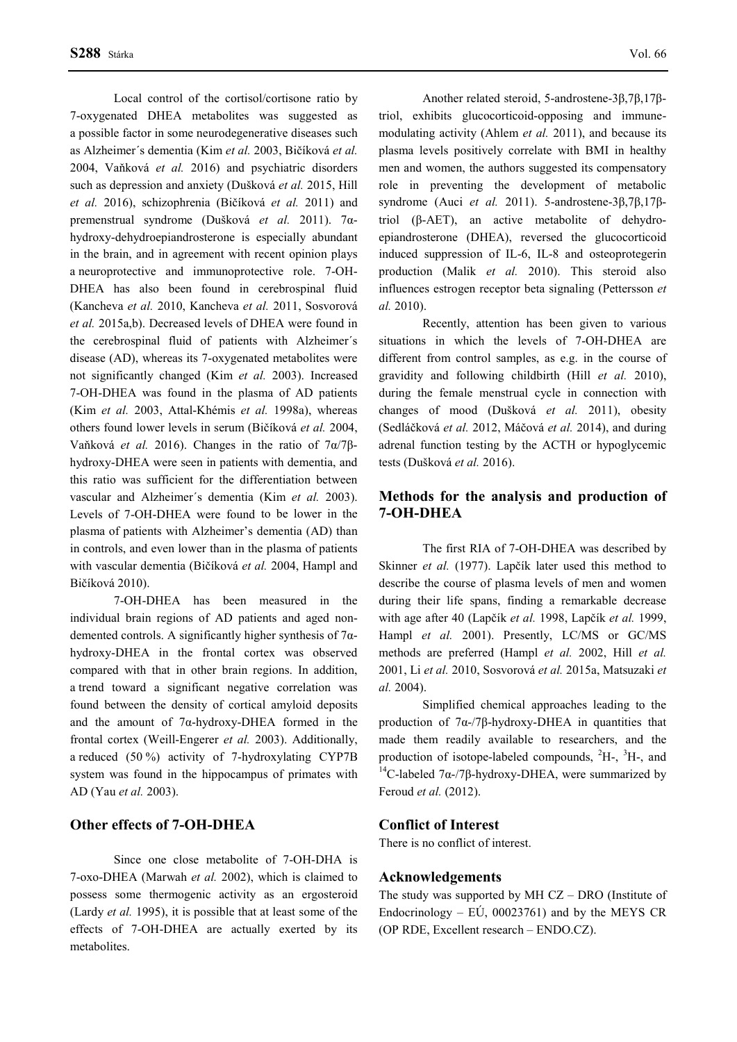Local control of the cortisol/cortisone ratio by 7-oxygenated DHEA metabolites was suggested as a possible factor in some neurodegenerative diseases such as Alzheimer´s dementia (Kim *et al.* 2003, Bičíková *et al.* 2004, Vaňková *et al.* 2016) and psychiatric disorders such as depression and anxiety (Dušková *et al.* 2015, Hill *et al.* 2016), schizophrenia (Bičíková *et al.* 2011) and premenstrual syndrome (Dušková *et al.* 2011). 7αhydroxy-dehydroepiandrosterone is especially abundant in the brain, and in agreement with recent opinion plays a neuroprotective and immunoprotective role. 7-OH-DHEA has also been found in cerebrospinal fluid (Kancheva *et al.* 2010, Kancheva *et al.* 2011, Sosvorová *et al.* 2015a,b). Decreased levels of DHEA were found in the cerebrospinal fluid of patients with Alzheimer´s disease (AD), whereas its 7-oxygenated metabolites were not significantly changed (Kim *et al.* 2003). Increased 7-OH-DHEA was found in the plasma of AD patients (Kim *et al.* 2003, Attal-Khémis *et al.* 1998a), whereas others found lower levels in serum (Bičíková *et al.* 2004, Vaňková *et al.* 2016). Changes in the ratio of 7α/7βhydroxy-DHEA were seen in patients with dementia, and this ratio was sufficient for the differentiation between vascular and Alzheimer´s dementia (Kim *et al.* 2003). Levels of 7-OH-DHEA were found to be lower in the plasma of patients with Alzheimer's dementia (AD) than in controls, and even lower than in the plasma of patients with vascular dementia (Bičíková *et al.* 2004, Hampl and Bičíková 2010).

7-OH-DHEA has been measured in the individual brain regions of AD patients and aged nondemented controls. A significantly higher synthesis of 7αhydroxy-DHEA in the frontal cortex was observed compared with that in other brain regions. In addition, a trend toward a significant negative correlation was found between the density of cortical amyloid deposits and the amount of 7α-hydroxy-DHEA formed in the frontal cortex (Weill-Engerer *et al.* 2003). Additionally, a reduced (50 %) activity of 7-hydroxylating CYP7B system was found in the hippocampus of primates with AD (Yau *et al.* 2003).

## **Other effects of 7-OH-DHEA**

Since one close metabolite of 7-OH-DHA is 7-oxo-DHEA (Marwah *et al.* 2002), which is claimed to possess some thermogenic activity as an ergosteroid (Lardy *et al.* 1995), it is possible that at least some of the effects of 7-OH-DHEA are actually exerted by its metabolites.

Another related steroid, 5-androstene-3β,7β,17βtriol, exhibits glucocorticoid-opposing and immunemodulating activity (Ahlem *et al.* 2011), and because its plasma levels positively correlate with BMI in healthy men and women, the authors suggested its compensatory role in preventing the development of metabolic syndrome (Auci *et al.* 2011). 5-androstene-3β,7β,17βtriol (β-AET), an active metabolite of dehydroepiandrosterone (DHEA), reversed the glucocorticoid induced suppression of IL-6, IL-8 and osteoprotegerin production (Malik *et al.* 2010). This steroid also influences estrogen receptor beta signaling (Pettersson *et al.* 2010).

Recently, attention has been given to various situations in which the levels of 7-OH-DHEA are different from control samples, as e.g. in the course of gravidity and following childbirth (Hill *et al.* 2010), during the female menstrual cycle in connection with changes of mood (Dušková *et al.* 2011), obesity (Sedláčková *et al.* 2012, Máčová *et al.* 2014), and during adrenal function testing by the ACTH or hypoglycemic tests (Dušková *et al.* 2016).

## **Methods for the analysis and production of 7-OH-DHEA**

The first RIA of 7-OH-DHEA was described by Skinner *et al.* (1977). Lapčík later used this method to describe the course of plasma levels of men and women during their life spans, finding a remarkable decrease with age after 40 (Lapčík *et al.* 1998, Lapčík *et al.* 1999, Hampl *et al.* 2001). Presently, LC/MS or GC/MS methods are preferred (Hampl *et al.* 2002, Hill *et al.* 2001, Li *et al.* 2010, Sosvorová *et al.* 2015a, Matsuzaki *et al.* 2004).

Simplified chemical approaches leading to the production of 7α-/7β-hydroxy-DHEA in quantities that made them readily available to researchers, and the production of isotope-labeled compounds, <sup>2</sup>H-, <sup>3</sup>H-, and <sup>14</sup>C-labeled 7α-/7β-hydroxy-DHEA, were summarized by Feroud *et al.* (2012).

#### **Conflict of Interest**

There is no conflict of interest.

#### **Acknowledgements**

The study was supported by MH CZ – DRO (Institute of Endocrinology –  $E\dot{U}$ , 00023761) and by the MEYS CR (OP RDE, Excellent research – ENDO.CZ).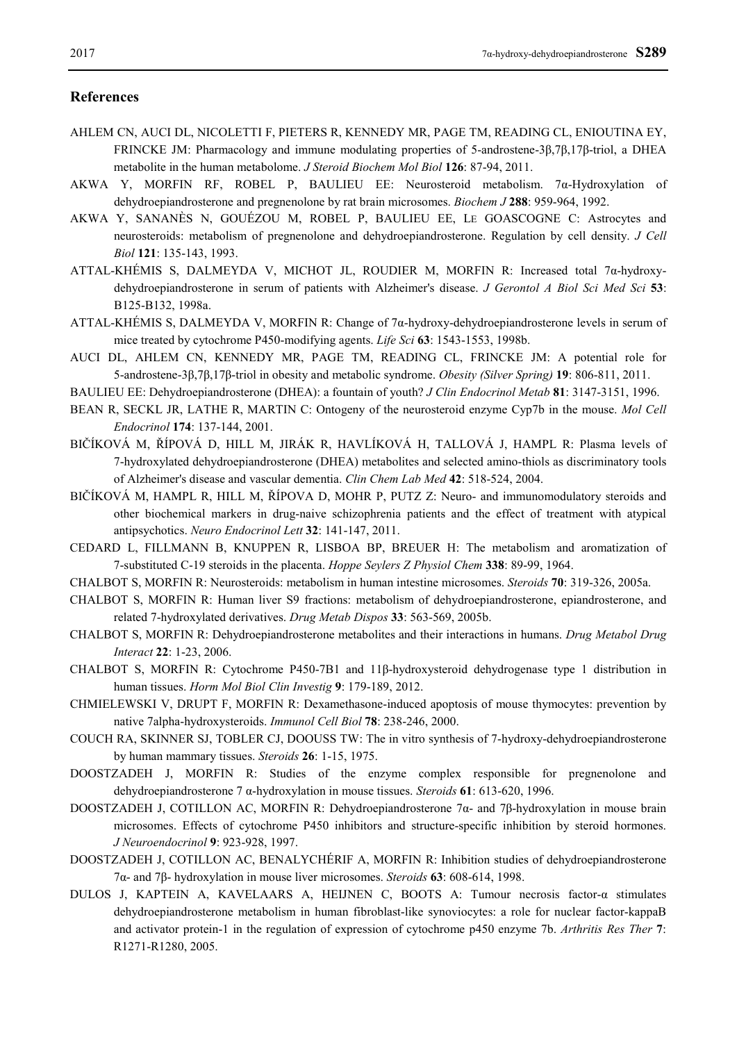#### **References**

- AHLEM CN, AUCI DL, NICOLETTI F, PIETERS R, KENNEDY MR, PAGE TM, READING CL, ENIOUTINA EY, FRINCKE JM: Pharmacology and immune modulating properties of 5-androstene-3β,7β,17β-triol, a DHEA metabolite in the human metabolome. *J Steroid Biochem Mol Biol* **126**: 87-94, 2011.
- AKWA Y, MORFIN RF, ROBEL P, BAULIEU EE: Neurosteroid metabolism. 7α-Hydroxylation of dehydroepiandrosterone and pregnenolone by rat brain microsomes. *Biochem J* **288**: 959-964, 1992.
- AKWA Y, SANANÈS N, GOUÉZOU M, ROBEL P, BAULIEU EE, LE GOASCOGNE C: Astrocytes and neurosteroids: metabolism of pregnenolone and dehydroepiandrosterone. Regulation by cell density. *J Cell Biol* **121**: 135-143, 1993.
- ATTAL-KHÉMIS S, DALMEYDA V, MICHOT JL, ROUDIER M, MORFIN R: Increased total 7 $\alpha$ -hydroxydehydroepiandrosterone in serum of patients with Alzheimer's disease. *J Gerontol A Biol Sci Med Sci* **53**: B125-B132, 1998a.
- ATTAL-KHÉMIS S, DALMEYDA V, MORFIN R: Change of 7α-hydroxy-dehydroepiandrosterone levels in serum of mice treated by cytochrome P450-modifying agents. *Life Sci* **63**: 1543-1553, 1998b.
- AUCI DL, AHLEM CN, KENNEDY MR, PAGE TM, READING CL, FRINCKE JM: A potential role for 5-androstene-3β,7β,17β-triol in obesity and metabolic syndrome. *Obesity (Silver Spring)* **19**: 806-811, 2011.
- BAULIEU EE: Dehydroepiandrosterone (DHEA): a fountain of youth? *J Clin Endocrinol Metab* **81**: 3147-3151, 1996.
- BEAN R, SECKL JR, LATHE R, MARTIN C: Ontogeny of the neurosteroid enzyme Cyp7b in the mouse. *Mol Cell Endocrinol* **174**: 137-144, 2001.
- BIČÍKOVÁ M, ŘÍPOVÁ D, HILL M, JIRÁK R, HAVLÍKOVÁ H, TALLOVÁ J, HAMPL R: Plasma levels of 7-hydroxylated dehydroepiandrosterone (DHEA) metabolites and selected amino-thiols as discriminatory tools of Alzheimer's disease and vascular dementia. *Clin Chem Lab Med* **42**: 518-524, 2004.
- BIČÍKOVÁ M, HAMPL R, HILL M, ŘÍPOVA D, MOHR P, PUTZ Z: Neuro- and immunomodulatory steroids and other biochemical markers in drug-naive schizophrenia patients and the effect of treatment with atypical antipsychotics. *Neuro Endocrinol Lett* **32**: 141-147, 2011.
- CEDARD L, FILLMANN B, KNUPPEN R, LISBOA BP, BREUER H: The metabolism and aromatization of 7-substituted C-19 steroids in the placenta. *Hoppe Seylers Z Physiol Chem* **338**: 89-99, 1964.
- CHALBOT S, MORFIN R: Neurosteroids: metabolism in human intestine microsomes. *Steroids* **70**: 319-326, 2005a.
- CHALBOT S, MORFIN R: Human liver S9 fractions: metabolism of dehydroepiandrosterone, epiandrosterone, and related 7-hydroxylated derivatives. *Drug Metab Dispos* **33**: 563-569, 2005b.
- CHALBOT S, MORFIN R: Dehydroepiandrosterone metabolites and their interactions in humans. *Drug Metabol Drug Interact* **22**: 1-23, 2006.
- CHALBOT S, MORFIN R: Cytochrome P450-7B1 and 11β-hydroxysteroid dehydrogenase type 1 distribution in human tissues. *Horm Mol Biol Clin Investig* **9**: 179-189, 2012.
- CHMIELEWSKI V, DRUPT F, MORFIN R: Dexamethasone-induced apoptosis of mouse thymocytes: prevention by native 7alpha-hydroxysteroids. *Immunol Cell Biol* **78**: 238-246, 2000.
- COUCH RA, SKINNER SJ, TOBLER CJ, DOOUSS TW: The in vitro synthesis of 7-hydroxy-dehydroepiandrosterone by human mammary tissues. *Steroids* **26**: 1-15, 1975.
- DOOSTZADEH J, MORFIN R: Studies of the enzyme complex responsible for pregnenolone and dehydroepiandrosterone 7 α-hydroxylation in mouse tissues. *Steroids* **61**: 613-620, 1996.
- DOOSTZADEH J, COTILLON AC, MORFIN R: Dehydroepiandrosterone 7α- and 7β-hydroxylation in mouse brain microsomes. Effects of cytochrome P450 inhibitors and structure-specific inhibition by steroid hormones. *J Neuroendocrinol* **9**: 923-928, 1997.
- DOOSTZADEH J, COTILLON AC, BENALYCHÉRIF A, MORFIN R: Inhibition studies of dehydroepiandrosterone 7α- and 7β- hydroxylation in mouse liver microsomes. *Steroids* **63**: 608-614, 1998.
- DULOS J, KAPTEIN A, KAVELAARS A, HEIJNEN C, BOOTS A: Tumour necrosis factor-α stimulates dehydroepiandrosterone metabolism in human fibroblast-like synoviocytes: a role for nuclear factor-kappaB and activator protein-1 in the regulation of expression of cytochrome p450 enzyme 7b. *Arthritis Res Ther* **7**: R1271-R1280, 2005.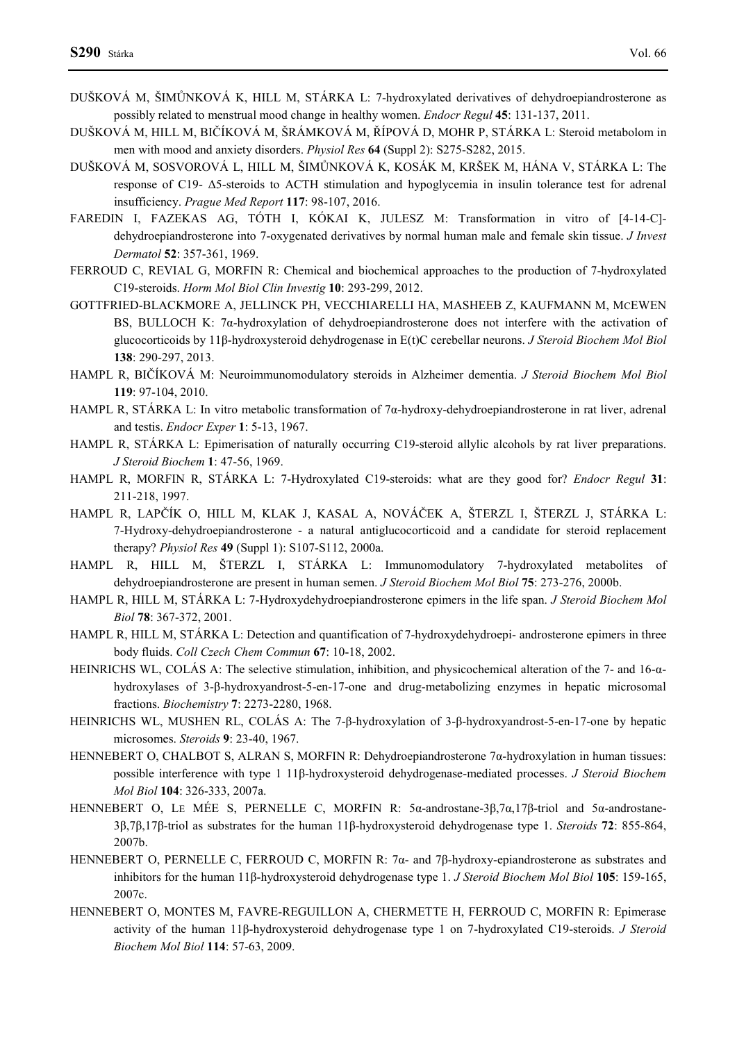- DUŠKOVÁ M, ŠIMŮNKOVÁ K, HILL M, STÁRKA L: 7-hydroxylated derivatives of dehydroepiandrosterone as possibly related to menstrual mood change in healthy women. *Endocr Regul* **45**: 131-137, 2011.
- DUŠKOVÁ M, HILL M, BIČÍKOVÁ M, ŠRÁMKOVÁ M, ŘÍPOVÁ D, MOHR P, STÁRKA L: Steroid metabolom in men with mood and anxiety disorders. *Physiol Res* **64** (Suppl 2): S275-S282, 2015.
- DUŠKOVÁ M, SOSVOROVÁ L, HILL M, ŠIMŮNKOVÁ K, KOSÁK M, KRŠEK M, HÁNA V, STÁRKA L: The response of C19- Δ5-steroids to ACTH stimulation and hypoglycemia in insulin tolerance test for adrenal insufficiency. *Prague Med Report* **117**: 98-107, 2016.
- FAREDIN I, FAZEKAS AG, TÓTH I, KÓKAI K, JULESZ M: Transformation in vitro of [4-14-C] dehydroepiandrosterone into 7-oxygenated derivatives by normal human male and female skin tissue. *J Invest Dermatol* **52**: 357-361, 1969.
- FERROUD C, REVIAL G, MORFIN R: Chemical and biochemical approaches to the production of 7-hydroxylated C19-steroids. *Horm Mol Biol Clin Investig* **10**: 293-299, 2012.
- GOTTFRIED-BLACKMORE A, JELLINCK PH, VECCHIARELLI HA, MASHEEB Z, KAUFMANN M, MCEWEN BS, BULLOCH K: 7α-hydroxylation of dehydroepiandrosterone does not interfere with the activation of glucocorticoids by 11β-hydroxysteroid dehydrogenase in E(t)C cerebellar neurons. *J Steroid Biochem Mol Biol* **138**: 290-297, 2013.
- HAMPL R, BIČÍKOVÁ M: Neuroimmunomodulatory steroids in Alzheimer dementia. *J Steroid Biochem Mol Biol* **119**: 97-104, 2010.
- HAMPL R, STÁRKA L: In vitro metabolic transformation of 7α-hydroxy-dehydroepiandrosterone in rat liver, adrenal and testis. *Endocr Exper* **1**: 5-13, 1967.
- HAMPL R, STÁRKA L: Epimerisation of naturally occurring C19-steroid allylic alcohols by rat liver preparations. *J Steroid Biochem* **1**: 47-56, 1969.
- HAMPL R, MORFIN R, STÁRKA L: 7-Hydroxylated C19-steroids: what are they good for? *Endocr Regul* **31**: 211-218, 1997.
- HAMPL R, LAPČÍK O, HILL M, KLAK J, KASAL A, NOVÁČEK A, ŠTERZL I, ŠTERZL J, STÁRKA L: 7-Hydroxy-dehydroepiandrosterone - a natural antiglucocorticoid and a candidate for steroid replacement therapy? *Physiol Res* **49** (Suppl 1): S107-S112, 2000a.
- HAMPL R, HILL M, ŠTERZL I, STÁRKA L: Immunomodulatory 7-hydroxylated metabolites of dehydroepiandrosterone are present in human semen. *J Steroid Biochem Mol Biol* **75**: 273-276, 2000b.
- HAMPL R, HILL M, STÁRKA L: 7-Hydroxydehydroepiandrosterone epimers in the life span. *J Steroid Biochem Mol Biol* **78**: 367-372, 2001.
- HAMPL R, HILL M, STÁRKA L: Detection and quantification of 7-hydroxydehydroepi- androsterone epimers in three body fluids. *Coll Czech Chem Commun* **67**: 10-18, 2002.
- HEINRICHS WL, COLÁS A: The selective stimulation, inhibition, and physicochemical alteration of the 7- and 16-αhydroxylases of 3-β-hydroxyandrost-5-en-17-one and drug-metabolizing enzymes in hepatic microsomal fractions. *Biochemistry* **7**: 2273-2280, 1968.
- HEINRICHS WL, MUSHEN RL, COLÁS A: The 7-β-hydroxylation of 3-β-hydroxyandrost-5-en-17-one by hepatic microsomes. *Steroids* **9**: 23-40, 1967.
- HENNEBERT O, CHALBOT S, ALRAN S, MORFIN R: Dehydroepiandrosterone 7α-hydroxylation in human tissues: possible interference with type 1 11β-hydroxysteroid dehydrogenase-mediated processes. *J Steroid Biochem Mol Biol* **104**: 326-333, 2007a.
- HENNEBERT O, LE MÉE S, PERNELLE C, MORFIN R: 5α-androstane-3β,7α,17β-triol and 5α-androstane-3β,7β,17β-triol as substrates for the human 11β-hydroxysteroid dehydrogenase type 1. *Steroids* **72**: 855-864, 2007b.
- HENNEBERT O, PERNELLE C, FERROUD C, MORFIN R: 7α- and 7β-hydroxy-epiandrosterone as substrates and inhibitors for the human 11β-hydroxysteroid dehydrogenase type 1. *J Steroid Biochem Mol Biol* **105**: 159-165, 2007c.
- HENNEBERT O, MONTES M, FAVRE-REGUILLON A, CHERMETTE H, FERROUD C, MORFIN R: Epimerase activity of the human 11β-hydroxysteroid dehydrogenase type 1 on 7-hydroxylated C19-steroids. *J Steroid Biochem Mol Biol* **114**: 57-63, 2009.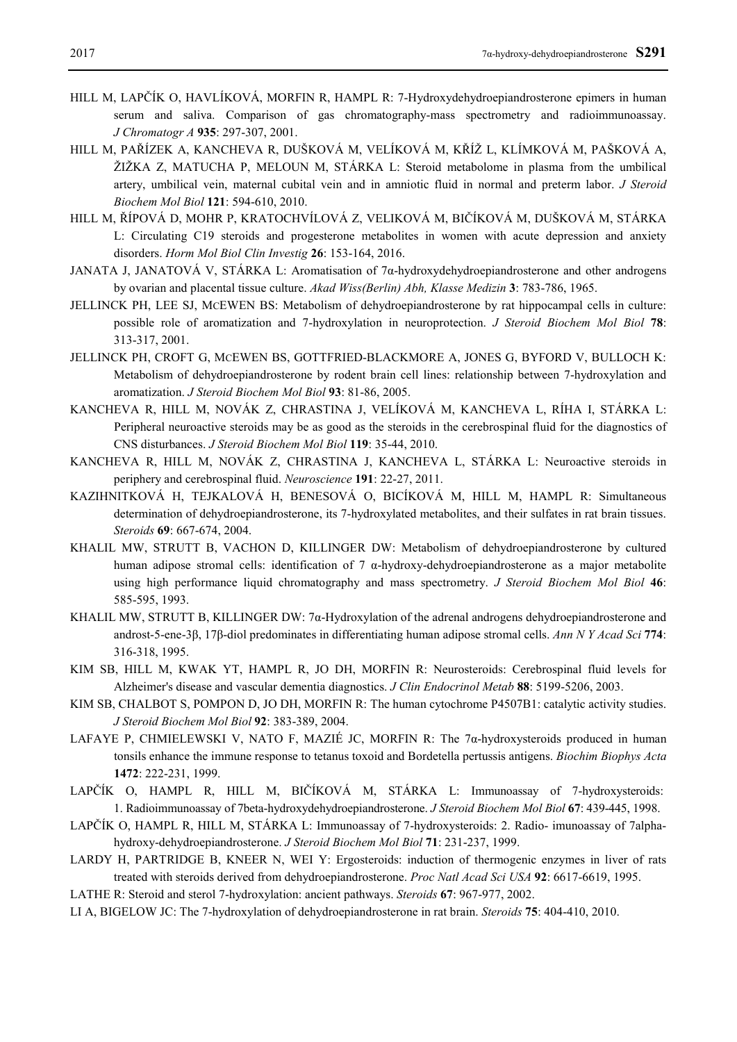- HILL M, LAPČÍK O, HAVLÍKOVÁ, MORFIN R, HAMPL R: 7-Hydroxydehydroepiandrosterone epimers in human serum and saliva. Comparison of gas chromatography-mass spectrometry and radioimmunoassay. *J Chromatogr A* **935**: 297-307, 2001.
- HILL M, PAŘÍZEK A, KANCHEVA R, DUŠKOVÁ M, VELÍKOVÁ M, KŘÍŽ L, KLÍMKOVÁ M, PAŠKOVÁ A, ŽIŽKA Z, MATUCHA P, MELOUN M, STÁRKA L: Steroid metabolome in plasma from the umbilical artery, umbilical vein, maternal cubital vein and in amniotic fluid in normal and preterm labor. *J Steroid Biochem Mol Biol* **121**: 594-610, 2010.
- HILL M, ŘÍPOVÁ D, MOHR P, KRATOCHVÍLOVÁ Z, VELIKOVÁ M, BIČÍKOVÁ M, DUŠKOVÁ M, STÁRKA L: Circulating C19 steroids and progesterone metabolites in women with acute depression and anxiety disorders. *Horm Mol Biol Clin Investig* **26**: 153-164, 2016.
- JANATA J, JANATOVÁ V, STÁRKA L: Aromatisation of 7α-hydroxydehydroepiandrosterone and other androgens by ovarian and placental tissue culture. *Akad Wiss(Berlin) Abh, Klasse Medizin* **3**: 783-786, 1965.
- JELLINCK PH, LEE SJ, MCEWEN BS: Metabolism of dehydroepiandrosterone by rat hippocampal cells in culture: possible role of aromatization and 7-hydroxylation in neuroprotection. *J Steroid Biochem Mol Biol* **78**: 313-317, 2001.
- JELLINCK PH, CROFT G, MCEWEN BS, GOTTFRIED-BLACKMORE A, JONES G, BYFORD V, BULLOCH K: Metabolism of dehydroepiandrosterone by rodent brain cell lines: relationship between 7-hydroxylation and aromatization. *J Steroid Biochem Mol Biol* **93**: 81-86, 2005.
- KANCHEVA R, HILL M, NOVÁK Z, CHRASTINA J, VELÍKOVÁ M, KANCHEVA L, RÍHA I, STÁRKA L: Peripheral neuroactive steroids may be as good as the steroids in the cerebrospinal fluid for the diagnostics of CNS disturbances. *J Steroid Biochem Mol Biol* **119**: 35-44, 2010.
- KANCHEVA R, HILL M, NOVÁK Z, CHRASTINA J, KANCHEVA L, STÁRKA L: Neuroactive steroids in periphery and cerebrospinal fluid. *Neuroscience* **191**: 22-27, 2011.
- KAZIHNITKOVÁ H, TEJKALOVÁ H, BENESOVÁ O, BICÍKOVÁ M, HILL M, HAMPL R: Simultaneous determination of dehydroepiandrosterone, its 7-hydroxylated metabolites, and their sulfates in rat brain tissues. *Steroids* **69**: 667-674, 2004.
- KHALIL MW, STRUTT B, VACHON D, KILLINGER DW: Metabolism of dehydroepiandrosterone by cultured human adipose stromal cells: identification of 7  $\alpha$ -hydroxy-dehydroepiandrosterone as a major metabolite using high performance liquid chromatography and mass spectrometry. *J Steroid Biochem Mol Biol* **46**: 585-595, 1993.
- KHALIL MW, STRUTT B, KILLINGER DW: 7α-Hydroxylation of the adrenal androgens dehydroepiandrosterone and androst-5-ene-3β, 17β-diol predominates in differentiating human adipose stromal cells. *Ann N Y Acad Sci* **774**: 316-318, 1995.
- KIM SB, HILL M, KWAK YT, HAMPL R, JO DH, MORFIN R: Neurosteroids: Cerebrospinal fluid levels for Alzheimer's disease and vascular dementia diagnostics. *J Clin Endocrinol Metab* **88**: 5199-5206, 2003.
- KIM SB, CHALBOT S, POMPON D, JO DH, MORFIN R: The human cytochrome P4507B1: catalytic activity studies. *J Steroid Biochem Mol Biol* **92**: 383-389, 2004.
- LAFAYE P, CHMIELEWSKI V, NATO F, MAZIÉ JC, MORFIN R: The 7 $\alpha$ -hydroxysteroids produced in human tonsils enhance the immune response to tetanus toxoid and Bordetella pertussis antigens. *Biochim Biophys Acta* **1472**: 222-231, 1999.
- LAPČÍK O, HAMPL R, HILL M, BIČÍKOVÁ M, STÁRKA L: Immunoassay of 7-hydroxysteroids: 1. Radioimmunoassay of 7beta-hydroxydehydroepiandrosterone. *J Steroid Biochem Mol Biol* **67**: 439-445, 1998.
- LAPČÍK O, HAMPL R, HILL M, STÁRKA L: Immunoassay of 7-hydroxysteroids: 2. Radio- imunoassay of 7alphahydroxy-dehydroepiandrosterone. *J Steroid Biochem Mol Biol* **71**: 231-237, 1999.
- LARDY H, PARTRIDGE B, KNEER N, WEI Y: Ergosteroids: induction of thermogenic enzymes in liver of rats treated with steroids derived from dehydroepiandrosterone. *Proc Natl Acad Sci USA* **92**: 6617-6619, 1995.
- LATHE R: Steroid and sterol 7-hydroxylation: ancient pathways. *Steroids* **67**: 967-977, 2002.
- LI A, BIGELOW JC: The 7-hydroxylation of dehydroepiandrosterone in rat brain. *Steroids* **75**: 404-410, 2010.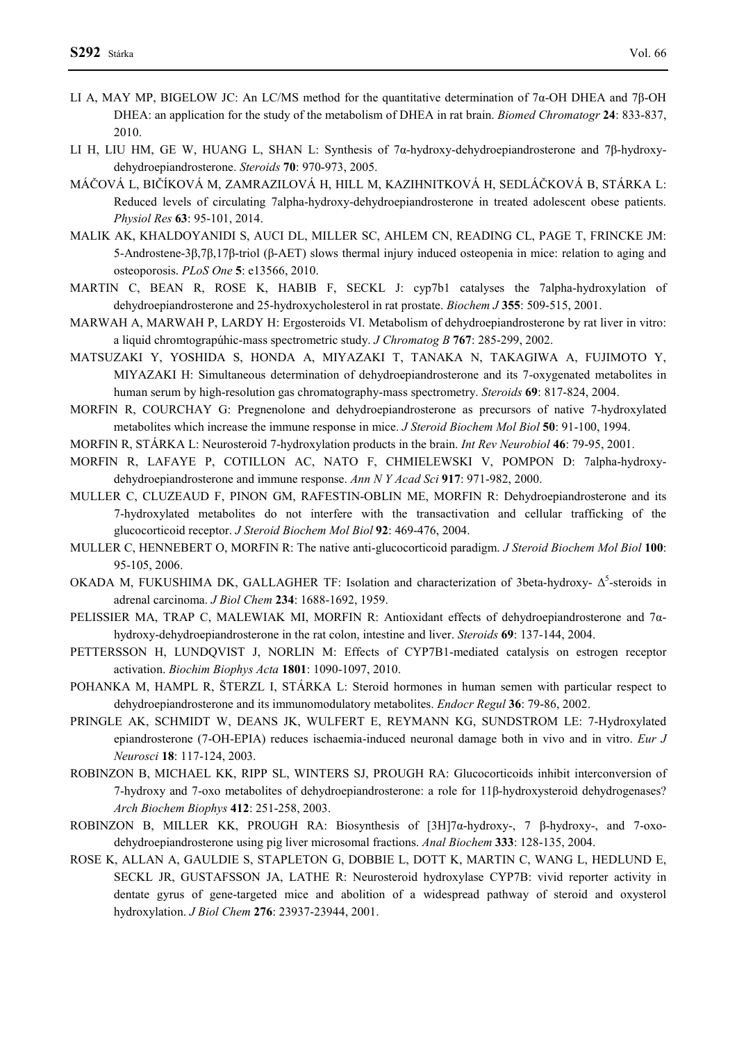- LI A, MAY MP, BIGELOW JC: An LC/MS method for the quantitative determination of 7α-OH DHEA and 7β-OH DHEA: an application for the study of the metabolism of DHEA in rat brain. *Biomed Chromatogr* **24**: 833-837, 2010.
- LI H, LIU HM, GE W, HUANG L, SHAN L: Synthesis of 7α-hydroxy-dehydroepiandrosterone and 7β-hydroxydehydroepiandrosterone. *Steroids* **70**: 970-973, 2005.
- MÁČOVÁ L, BIČÍKOVÁ M, ZAMRAZILOVÁ H, HILL M, KAZIHNITKOVÁ H, SEDLÁČKOVÁ B, STÁRKA L: Reduced levels of circulating 7alpha-hydroxy-dehydroepiandrosterone in treated adolescent obese patients. *Physiol Res* **63**: 95-101, 2014.
- MALIK AK, KHALDOYANIDI S, AUCI DL, MILLER SC, AHLEM CN, READING CL, PAGE T, FRINCKE JM: 5-Androstene-3β,7β,17β-triol (β-AET) slows thermal injury induced osteopenia in mice: relation to aging and osteoporosis. *PLoS One* **5**: e13566, 2010.
- MARTIN C, BEAN R, ROSE K, HABIB F, SECKL J: cyp7b1 catalyses the 7alpha-hydroxylation of dehydroepiandrosterone and 25-hydroxycholesterol in rat prostate. *Biochem J* **355**: 509-515, 2001.
- MARWAH A, MARWAH P, LARDY H: Ergosteroids VI. Metabolism of dehydroepiandrosterone by rat liver in vitro: a liquid chromtograpúhic-mass spectrometric study. *J Chromatog B* **767**: 285-299, 2002.
- MATSUZAKI Y, YOSHIDA S, HONDA A, MIYAZAKI T, TANAKA N, TAKAGIWA A, FUJIMOTO Y, MIYAZAKI H: Simultaneous determination of dehydroepiandrosterone and its 7-oxygenated metabolites in human serum by high-resolution gas chromatography-mass spectrometry. *Steroids* **69**: 817-824, 2004.
- MORFIN R, COURCHAY G: Pregnenolone and dehydroepiandrosterone as precursors of native 7-hydroxylated metabolites which increase the immune response in mice. *J Steroid Biochem Mol Biol* **50**: 91-100, 1994.
- MORFIN R, STÁRKA L: Neurosteroid 7-hydroxylation products in the brain. *Int Rev Neurobiol* **46**: 79-95, 2001.
- MORFIN R, LAFAYE P, COTILLON AC, NATO F, CHMIELEWSKI V, POMPON D: 7alpha-hydroxydehydroepiandrosterone and immune response. *Ann N Y Acad Sci* **917**: 971-982, 2000.
- MULLER C, CLUZEAUD F, PINON GM, RAFESTIN-OBLIN ME, MORFIN R: Dehydroepiandrosterone and its 7-hydroxylated metabolites do not interfere with the transactivation and cellular trafficking of the glucocorticoid receptor. *J Steroid Biochem Mol Biol* **92**: 469-476, 2004.
- MULLER C, HENNEBERT O, MORFIN R: The native anti-glucocorticoid paradigm. *J Steroid Biochem Mol Biol* **100**: 95-105, 2006.
- OKADA M, FUKUSHIMA DK, GALLAGHER TF: Isolation and characterization of 3beta-hydroxy- Δ<sup>5</sup>-steroids in adrenal carcinoma. *J Biol Chem* **234**: 1688-1692, 1959.
- PELISSIER MA, TRAP C, MALEWIAK MI, MORFIN R: Antioxidant effects of dehydroepiandrosterone and 7αhydroxy-dehydroepiandrosterone in the rat colon, intestine and liver. *Steroids* **69**: 137-144, 2004.
- PETTERSSON H, LUNDQVIST J, NORLIN M: Effects of CYP7B1-mediated catalysis on estrogen receptor activation. *Biochim Biophys Acta* **1801**: 1090-1097, 2010.
- POHANKA M, HAMPL R, ŠTERZL I, STÁRKA L: Steroid hormones in human semen with particular respect to dehydroepiandrosterone and its immunomodulatory metabolites. *Endocr Regul* **36**: 79-86, 2002.
- PRINGLE AK, SCHMIDT W, DEANS JK, WULFERT E, REYMANN KG, SUNDSTROM LE: 7-Hydroxylated epiandrosterone (7-OH-EPIA) reduces ischaemia-induced neuronal damage both in vivo and in vitro. *Eur J Neurosci* **18**: 117-124, 2003.
- ROBINZON B, MICHAEL KK, RIPP SL, WINTERS SJ, PROUGH RA: Glucocorticoids inhibit interconversion of 7-hydroxy and 7-oxo metabolites of dehydroepiandrosterone: a role for 11β-hydroxysteroid dehydrogenases? *Arch Biochem Biophys* **412**: 251-258, 2003.
- ROBINZON B, MILLER KK, PROUGH RA: Biosynthesis of  $[3H]7\alpha$ -hydroxy-, 7 β-hydroxy-, and 7-oxodehydroepiandrosterone using pig liver microsomal fractions. *Anal Biochem* **333**: 128-135, 2004.
- ROSE K, ALLAN A, GAULDIE S, STAPLETON G, DOBBIE L, DOTT K, MARTIN C, WANG L, HEDLUND E, SECKL JR, GUSTAFSSON JA, LATHE R: Neurosteroid hydroxylase CYP7B: vivid reporter activity in dentate gyrus of gene-targeted mice and abolition of a widespread pathway of steroid and oxysterol hydroxylation. *J Biol Chem* **276**: 23937-23944, 2001.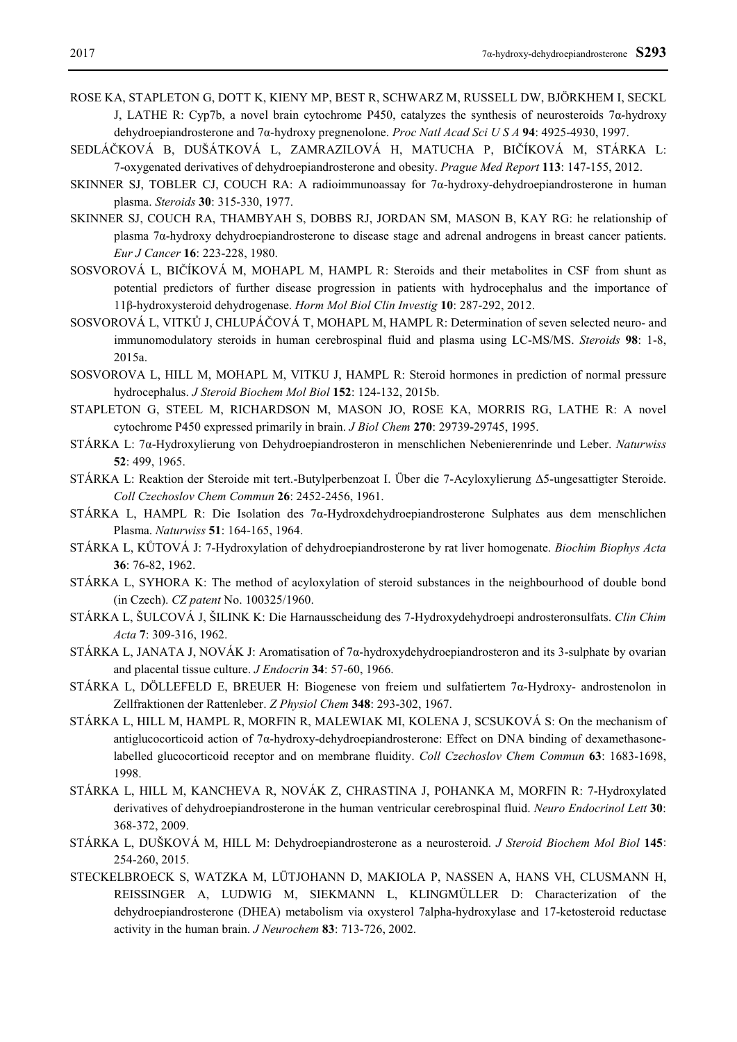- ROSE KA, STAPLETON G, DOTT K, KIENY MP, BEST R, SCHWARZ M, RUSSELL DW, BJÖRKHEM I, SECKL J, LATHE R: Cyp7b, a novel brain cytochrome P450, catalyzes the synthesis of neurosteroids 7α-hydroxy dehydroepiandrosterone and 7α-hydroxy pregnenolone. *Proc Natl Acad Sci U S A* **94**: 4925-4930, 1997.
- SEDLÁČKOVÁ B, DUŠÁTKOVÁ L, ZAMRAZILOVÁ H, MATUCHA P, BIČÍKOVÁ M, STÁRKA L: 7-oxygenated derivatives of dehydroepiandrosterone and obesity. *Prague Med Report* **113**: 147-155, 2012.
- SKINNER SJ, TOBLER CJ, COUCH RA: A radioimmunoassay for 7α-hydroxy-dehydroepiandrosterone in human plasma. *Steroids* **30**: 315-330, 1977.
- SKINNER SJ, COUCH RA, THAMBYAH S, DOBBS RJ, JORDAN SM, MASON B, KAY RG: he relationship of plasma 7α-hydroxy dehydroepiandrosterone to disease stage and adrenal androgens in breast cancer patients. *Eur J Cancer* **16**: 223-228, 1980.
- SOSVOROVÁ L, BIČÍKOVÁ M, MOHAPL M, HAMPL R: Steroids and their metabolites in CSF from shunt as potential predictors of further disease progression in patients with hydrocephalus and the importance of 11β-hydroxysteroid dehydrogenase. *Horm Mol Biol Clin Investig* **10**: 287-292, 2012.
- SOSVOROVÁ L, VITKŮ J, CHLUPÁČOVÁ T, MOHAPL M, HAMPL R: Determination of seven selected neuro- and immunomodulatory steroids in human cerebrospinal fluid and plasma using LC-MS/MS. *Steroids* **98**: 1-8, 2015a.
- SOSVOROVA L, HILL M, MOHAPL M, VITKU J, HAMPL R: Steroid hormones in prediction of normal pressure hydrocephalus. *J Steroid Biochem Mol Biol* **152**: 124-132, 2015b.
- STAPLETON G, STEEL M, RICHARDSON M, MASON JO, ROSE KA, MORRIS RG, LATHE R: A novel cytochrome P450 expressed primarily in brain. *J Biol Chem* **270**: 29739-29745, 1995.
- STÁRKA L: 7α-Hydroxylierung von Dehydroepiandrosteron in menschlichen Nebenierenrinde und Leber. *Naturwiss* **52**: 499, 1965.
- STÁRKA L: Reaktion der Steroide mit tert.-Butylperbenzoat I. Über die 7-Acyloxylierung Δ5-ungesattigter Steroide. *Coll Czechoslov Chem Commun* **26**: 2452-2456, 1961.
- STÁRKA L, HAMPL R: Die Isolation des 7α-Hydroxdehydroepiandrosterone Sulphates aus dem menschlichen Plasma. *Naturwiss* **51**: 164-165, 1964.
- STÁRKA L, KŮTOVÁ J: 7-Hydroxylation of dehydroepiandrosterone by rat liver homogenate. *Biochim Biophys Acta* **36**: 76-82, 1962.
- STÁRKA L, SYHORA K: The method of acyloxylation of steroid substances in the neighbourhood of double bond (in Czech). *CZ patent* No. 100325/1960.
- STÁRKA L, ŠULCOVÁ J, ŠILINK K: Die Harnausscheidung des 7-Hydroxydehydroepi androsteronsulfats. *Clin Chim Acta* **7**: 309-316, 1962.
- STÁRKA L, JANATA J, NOVÁK J: Aromatisation of 7α-hydroxydehydroepiandrosteron and its 3-sulphate by ovarian and placental tissue culture. *J Endocrin* **34**: 57-60, 1966.
- STÁRKA L, DÖLLEFELD E, BREUER H: Biogenese von freiem und sulfatiertem 7α-Hydroxy- androstenolon in Zellfraktionen der Rattenleber. *Z Physiol Chem* **348**: 293-302, 1967.
- STÁRKA L, HILL M, HAMPL R, MORFIN R, MALEWIAK MI, KOLENA J, SCSUKOVÁ S: On the mechanism of antiglucocorticoid action of 7α-hydroxy-dehydroepiandrosterone: Effect on DNA binding of dexamethasonelabelled glucocorticoid receptor and on membrane fluidity. *Coll Czechoslov Chem Commun* **63**: 1683-1698, 1998.
- STÁRKA L, HILL M, KANCHEVA R, NOVÁK Z, CHRASTINA J, POHANKA M, MORFIN R: 7-Hydroxylated derivatives of dehydroepiandrosterone in the human ventricular cerebrospinal fluid. *Neuro Endocrinol Lett* **30**: 368-372, 2009.
- STÁRKA L, DUŠKOVÁ M, HILL M: Dehydroepiandrosterone as a neurosteroid. *J Steroid Biochem Mol Biol* **145**: 254-260, 2015.
- STECKELBROECK S, WATZKA M, LÜTJOHANN D, MAKIOLA P, NASSEN A, HANS VH, CLUSMANN H, REISSINGER A, LUDWIG M, SIEKMANN L, KLINGMÜLLER D: Characterization of the dehydroepiandrosterone (DHEA) metabolism via oxysterol 7alpha-hydroxylase and 17-ketosteroid reductase activity in the human brain. *J Neurochem* **83**: 713-726, 2002.